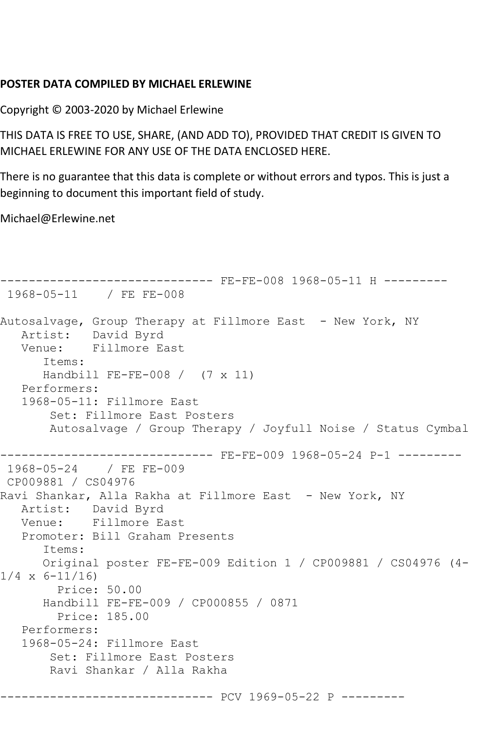## **POSTER DATA COMPILED BY MICHAEL ERLEWINE**

Copyright © 2003-2020 by Michael Erlewine

THIS DATA IS FREE TO USE, SHARE, (AND ADD TO), PROVIDED THAT CREDIT IS GIVEN TO MICHAEL ERLEWINE FOR ANY USE OF THE DATA ENCLOSED HERE.

There is no guarantee that this data is complete or without errors and typos. This is just a beginning to document this important field of study.

Michael@Erlewine.net

```
------------------------------ FE-FE-008 1968-05-11 H ---------
1968-05-11 / FE FE-008
Autosalvage, Group Therapy at Fillmore East - New York, NY
  Artist: David Byrd<br>Venue: Fillmore Ea
            Fillmore East
       Items:
       Handbill FE-FE-008 / (7 x 11)
   Performers:
    1968-05-11: Fillmore East
        Set: Fillmore East Posters
        Autosalvage / Group Therapy / Joyfull Noise / Status Cymbal
------------------------------ FE-FE-009 1968-05-24 P-1 ---------
1968-05-24 / FE FE-009
CP009881 / CS04976
Ravi Shankar, Alla Rakha at Fillmore East - New York, NY
   Artist: David Byrd
   Venue: Fillmore East
    Promoter: Bill Graham Presents
       Items:
      Original poster FE-FE-009 Edition 1 / CP009881 / CS04976 (4-
1/4 \times 6 - 11/16 Price: 50.00
       Handbill FE-FE-009 / CP000855 / 0871
         Price: 185.00
   Performers:
    1968-05-24: Fillmore East
        Set: Fillmore East Posters
        Ravi Shankar / Alla Rakha
          ------------------------------ PCV 1969-05-22 P ---------
```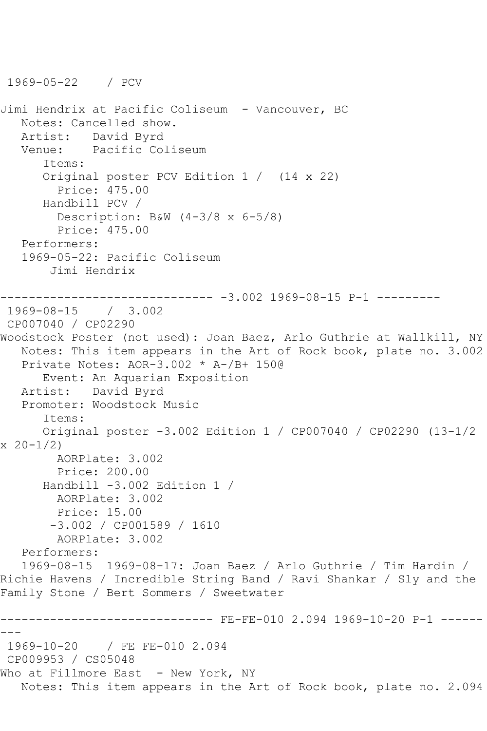1969-05-22 / PCV

```
Jimi Hendrix at Pacific Coliseum - Vancouver, BC
   Notes: Cancelled show.
   Artist: David Byrd
   Venue: Pacific Coliseum
       Items:
       Original poster PCV Edition 1 / (14 x 22)
         Price: 475.00
      Handbill PCV / 
         Description: B&W (4-3/8 x 6-5/8)
         Price: 475.00
   Performers:
   1969-05-22: Pacific Coliseum
        Jimi Hendrix
                 ------------ -3.002 1969-08-15 P-1 ---------
1969-08-15 / 3.002
CP007040 / CP02290
Woodstock Poster (not used): Joan Baez, Arlo Guthrie at Wallkill, NY
   Notes: This item appears in the Art of Rock book, plate no. 3.002
   Private Notes: AOR-3.002 * A-/B+ 150@
      Event: An Aquarian Exposition
   Artist: David Byrd
   Promoter: Woodstock Music
       Items:
       Original poster -3.002 Edition 1 / CP007040 / CP02290 (13-1/2 
x \ 20 - 1/2 AORPlate: 3.002 
        Price: 200.00
      Handbill -3.002 Edition 1 / 
        AORPlate: 3.002 
        Price: 15.00
        -3.002 / CP001589 / 1610
         AORPlate: 3.002 
   Performers:
   1969-08-15 1969-08-17: Joan Baez / Arlo Guthrie / Tim Hardin / 
Richie Havens / Incredible String Band / Ravi Shankar / Sly and the 
Family Stone / Bert Sommers / Sweetwater
                       ------- FE-FE-010 2.094 1969-10-20 P-1 ------
---
1969-10-20 / FE FE-010 2.094
CP009953 / CS05048
Who at Fillmore East - New York, NY
   Notes: This item appears in the Art of Rock book, plate no. 2.094
```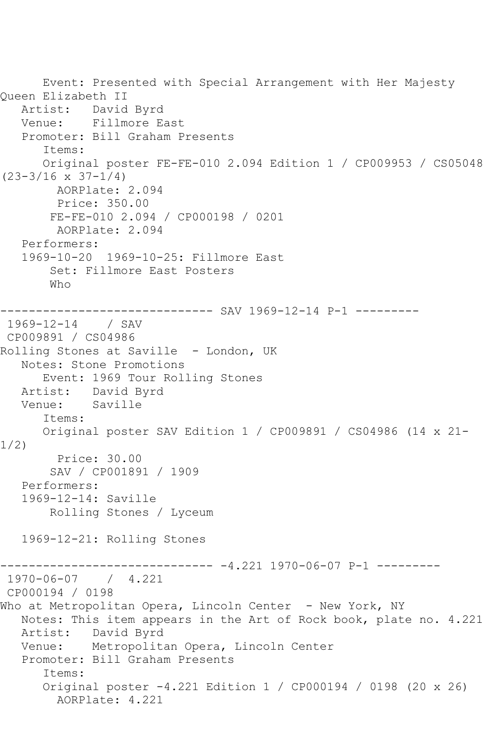Event: Presented with Special Arrangement with Her Majesty Queen Elizabeth II<br>Artist: David David Byrd Venue: Fillmore East Promoter: Bill Graham Presents Items: Original poster FE-FE-010 2.094 Edition 1 / CP009953 / CS05048  $(23-3/16 \times 37-1/4)$  AORPlate: 2.094 Price: 350.00 FE-FE-010 2.094 / CP000198 / 0201 AORPlate: 2.094 Performers: 1969-10-20 1969-10-25: Fillmore East Set: Fillmore East Posters Who ------------------------------ SAV 1969-12-14 P-1 --------- 1969-12-14 / SAV CP009891 / CS04986 Rolling Stones at Saville - London, UK Notes: Stone Promotions Event: 1969 Tour Rolling Stones Artist: David Byrd Venue: Saville Items: Original poster SAV Edition 1 / CP009891 / CS04986 (14 x 21- 1/2) Price: 30.00 SAV / CP001891 / 1909 Performers: 1969-12-14: Saville Rolling Stones / Lyceum 1969-12-21: Rolling Stones ------------------------------ -4.221 1970-06-07 P-1 --------- 1970-06-07 / 4.221 CP000194 / 0198 Who at Metropolitan Opera, Lincoln Center - New York, NY Notes: This item appears in the Art of Rock book, plate no. 4.221 Artist: David Byrd Venue: Metropolitan Opera, Lincoln Center Promoter: Bill Graham Presents Items: Original poster -4.221 Edition 1 / CP000194 / 0198 (20 x 26) AORPlate: 4.221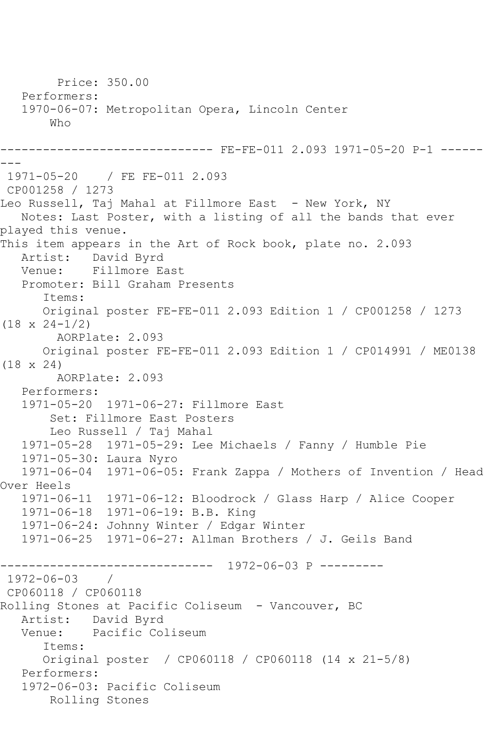```
 Price: 350.00
   Performers:
   1970-06-07: Metropolitan Opera, Lincoln Center
        Who
------------------------------ FE-FE-011 2.093 1971-05-20 P-1 ------
---
1971-05-20 / FE FE-011 2.093
CP001258 / 1273
Leo Russell, Taj Mahal at Fillmore East - New York, NY
   Notes: Last Poster, with a listing of all the bands that ever 
played this venue.
This item appears in the Art of Rock book, plate no. 2.093
   Artist: David Byrd
   Venue: Fillmore East
   Promoter: Bill Graham Presents
       Items:
      Original poster FE-FE-011 2.093 Edition 1 / CP001258 / 1273 
(18 x 24-1/2)
         AORPlate: 2.093 
      Original poster FE-FE-011 2.093 Edition 1 / CP014991 / ME0138 
(18 x 24)
        AORPlate: 2.093 
   Performers:
   1971-05-20 1971-06-27: Fillmore East
        Set: Fillmore East Posters
        Leo Russell / Taj Mahal
   1971-05-28 1971-05-29: Lee Michaels / Fanny / Humble Pie
   1971-05-30: Laura Nyro
   1971-06-04 1971-06-05: Frank Zappa / Mothers of Invention / Head 
Over Heels
 1971-06-11 1971-06-12: Bloodrock / Glass Harp / Alice Cooper
 1971-06-18 1971-06-19: B.B. King
   1971-06-24: Johnny Winter / Edgar Winter
   1971-06-25 1971-06-27: Allman Brothers / J. Geils Band
------------------------------ 1972-06-03 P ---------
1972-06-03 / 
CP060118 / CP060118
Rolling Stones at Pacific Coliseum - Vancouver, BC
  Artist: David Byrd<br>Venue: Pacific Co.
           Pacific Coliseum
       Items:
      Original poster / CP060118 / CP060118 (14 x 21-5/8)
   Performers:
   1972-06-03: Pacific Coliseum
        Rolling Stones
```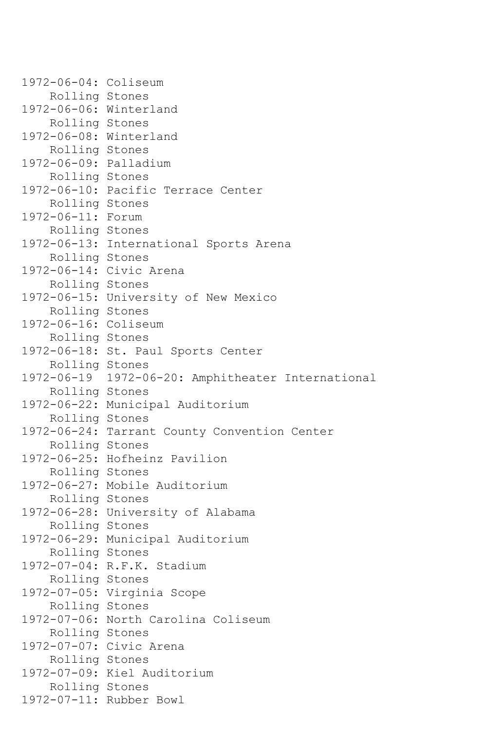1972-06-04: Coliseum Rolling Stones 1972-06-06: Winterland Rolling Stones 1972-06-08: Winterland Rolling Stones 1972-06-09: Palladium Rolling Stones 1972-06-10: Pacific Terrace Center Rolling Stones 1972-06-11: Forum Rolling Stones 1972-06-13: International Sports Arena Rolling Stones 1972-06-14: Civic Arena Rolling Stones 1972-06-15: University of New Mexico Rolling Stones 1972-06-16: Coliseum Rolling Stones 1972-06-18: St. Paul Sports Center Rolling Stones 1972-06-19 1972-06-20: Amphitheater International Rolling Stones 1972-06-22: Municipal Auditorium Rolling Stones 1972-06-24: Tarrant County Convention Center Rolling Stones 1972-06-25: Hofheinz Pavilion Rolling Stones 1972-06-27: Mobile Auditorium Rolling Stones 1972-06-28: University of Alabama Rolling Stones 1972-06-29: Municipal Auditorium Rolling Stones 1972-07-04: R.F.K. Stadium Rolling Stones 1972-07-05: Virginia Scope Rolling Stones 1972-07-06: North Carolina Coliseum Rolling Stones 1972-07-07: Civic Arena Rolling Stones 1972-07-09: Kiel Auditorium Rolling Stones 1972-07-11: Rubber Bowl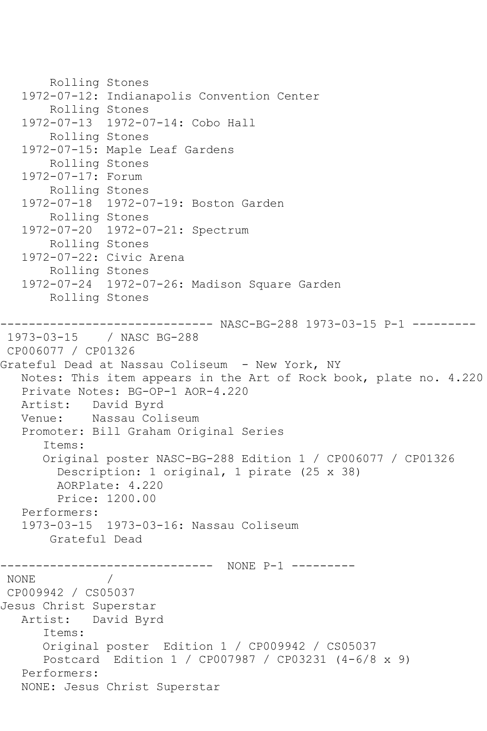```
 Rolling Stones
    1972-07-12: Indianapolis Convention Center
        Rolling Stones
    1972-07-13 1972-07-14: Cobo Hall
        Rolling Stones
    1972-07-15: Maple Leaf Gardens
        Rolling Stones
    1972-07-17: Forum
        Rolling Stones
    1972-07-18 1972-07-19: Boston Garden
        Rolling Stones
    1972-07-20 1972-07-21: Spectrum
        Rolling Stones
    1972-07-22: Civic Arena
        Rolling Stones
    1972-07-24 1972-07-26: Madison Square Garden
        Rolling Stones
       ------------------------------ NASC-BG-288 1973-03-15 P-1 ---------
1973-03-15 / NASC BG-288
CP006077 / CP01326
Grateful Dead at Nassau Coliseum - New York, NY
   Notes: This item appears in the Art of Rock book, plate no. 4.220
  Private Notes: BG-OP-1 AOR-4.220<br>Artist: David Byrd
  Artist: David Byrd<br>Venue: Nassau Col
            Nassau Coliseum
    Promoter: Bill Graham Original Series
       Items:
       Original poster NASC-BG-288 Edition 1 / CP006077 / CP01326
         Description: 1 original, 1 pirate (25 x 38)
         AORPlate: 4.220 
         Price: 1200.00
    Performers:
    1973-03-15 1973-03-16: Nassau Coliseum
        Grateful Dead
                ------------------------------ NONE P-1 ---------
NONE / 
CP009942 / CS05037
Jesus Christ Superstar
   Artist: David Byrd
       Items:
       Original poster Edition 1 / CP009942 / CS05037
       Postcard Edition 1 / CP007987 / CP03231 (4-6/8 x 9)
    Performers:
   NONE: Jesus Christ Superstar
```